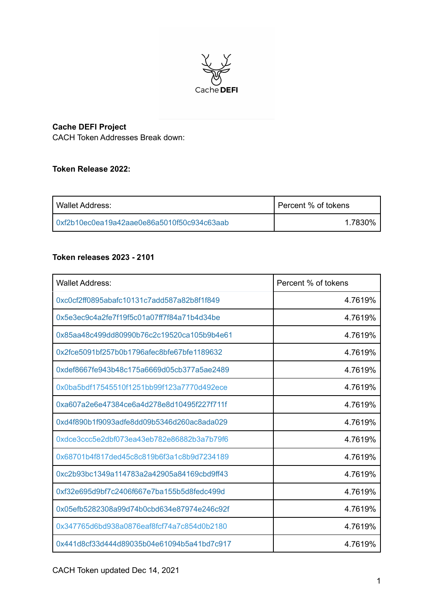

# **Cache DEFI Project**

CACH Token Addresses Break down:

## **Token Release 2022:**

| Wallet Address:                            | Percent % of tokens |
|--------------------------------------------|---------------------|
| 0xf2b10ec0ea19a42aae0e86a5010f50c934c63aab | 1.7830%             |

## **Token releases 2023 - 2101**

| Wallet Address:                            | Percent % of tokens |
|--------------------------------------------|---------------------|
| 0xc0cf2ff0895abafc10131c7add587a82b8f1f849 | 4.7619%             |
| 0x5e3ec9c4a2fe7f19f5c01a07ff7f84a71b4d34be | 4.7619%             |
| 0x85aa48c499dd80990b76c2c19520ca105b9b4e61 | 4.7619%             |
| 0x2fce5091bf257b0b1796afec8bfe67bfe1189632 | 4.7619%             |
| 0xdef8667fe943b48c175a6669d05cb377a5ae2489 | 4.7619%             |
| 0x0ba5bdf17545510f1251bb99f123a7770d492ece | 4.7619%             |
| 0xa607a2e6e47384ce6a4d278e8d10495f227f711f | 4.7619%             |
| 0xd4f890b1f9093adfe8dd09b5346d260ac8ada029 | 4.7619%             |
| 0xdce3ccc5e2dbf073ea43eb782e86882b3a7b79f6 | 4.7619%             |
| 0x68701b4f817ded45c8c819b6f3a1c8b9d7234189 | 4.7619%             |
| 0xc2b93bc1349a114783a2a42905a84169cbd9ff43 | 4.7619%             |
| 0xf32e695d9bf7c2406f667e7ba155b5d8fedc499d | 4.7619%             |
| 0x05efb5282308a99d74b0cbd634e87974e246c92f | 4.7619%             |
| 0x347765d6bd938a0876eaf8fcf74a7c854d0b2180 | 4.7619%             |
| 0x441d8cf33d444d89035b04e61094b5a41bd7c917 | 4.7619%             |